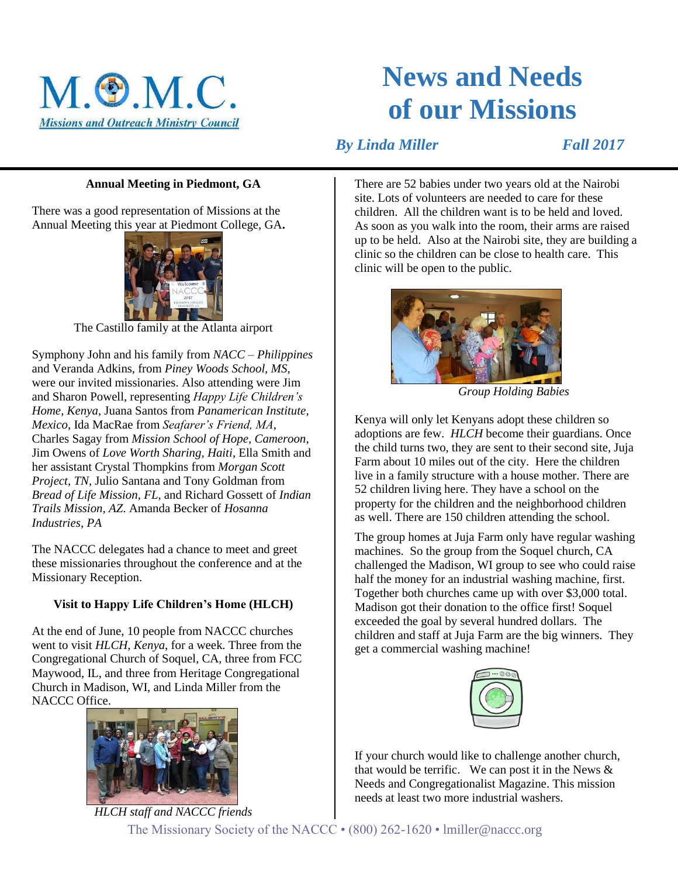

# **News and Needs of our Missions**

*By Linda Miller* Fall 2017

## **Annual Meeting in Piedmont, GA**

There was a good representation of Missions at the Annual Meeting this year at Piedmont College, GA**.**



The Castillo family at the Atlanta airport

Symphony John and his family from *NACC – Philippines* and Veranda Adkins, from *Piney Woods School, MS*, were our invited missionaries. Also attending were Jim and Sharon Powell, representing *Happy Life Children's Home, Kenya*, Juana Santos from *Panamerican Institute*, *Mexico*, Ida MacRae from *Seafarer's Friend, MA*, Charles Sagay from *Mission School of Hope, Cameroon*, Jim Owens of *Love Worth Sharing, Haiti*, Ella Smith and her assistant Crystal Thompkins from *Morgan Scott Project, TN*, Julio Santana and Tony Goldman from *Bread of Life Mission, FL*, and Richard Gossett of *Indian Trails Mission, AZ*. Amanda Becker of *Hosanna Industries, PA*

The NACCC delegates had a chance to meet and greet these missionaries throughout the conference and at the Missionary Reception.

## **Visit to Happy Life Children's Home (HLCH)**

At the end of June, 10 people from NACCC churches went to visit *HLCH, Kenya*, for a week. Three from the Congregational Church of Soquel, CA, three from FCC Maywood, IL, and three from Heritage Congregational Church in Madison, WI, and Linda Miller from the NACCC Office.



There are 52 babies under two years old at the Nairobi site. Lots of volunteers are needed to care for these children. All the children want is to be held and loved. As soon as you walk into the room, their arms are raised up to be held. Also at the Nairobi site, they are building a clinic so the children can be close to health care. This clinic will be open to the public.



 *Group Holding Babies*

Kenya will only let Kenyans adopt these children so adoptions are few. *HLCH* become their guardians. Once the child turns two, they are sent to their second site, Juja Farm about 10 miles out of the city. Here the children live in a family structure with a house mother. There are 52 children living here. They have a school on the property for the children and the neighborhood children as well. There are 150 children attending the school.

The group homes at Juja Farm only have regular washing machines. So the group from the Soquel church, CA challenged the Madison, WI group to see who could raise half the money for an industrial washing machine, first. Together both churches came up with over \$3,000 total. Madison got their donation to the office first! Soquel exceeded the goal by several hundred dollars. The children and staff at Juja Farm are the big winners. They get a commercial washing machine!



If your church would like to challenge another church, that would be terrific. We can post it in the News  $\&$ Needs and Congregationalist Magazine. This mission needs at least two more industrial washers.

The Missionary Society of the NACCC • (800) 262-1620 • lmiller@naccc.org *HLCH staff and NACCC friends*